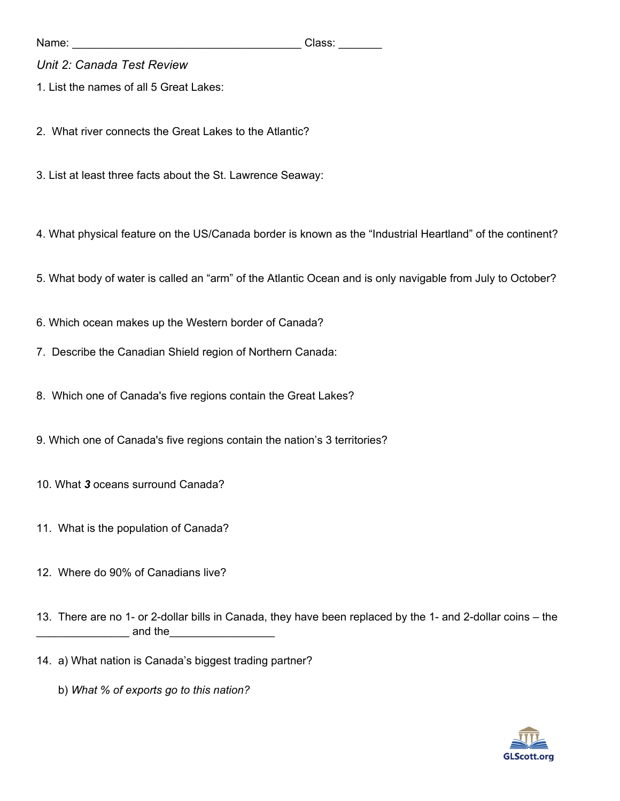Name: \_\_\_\_\_\_\_\_\_\_\_\_\_\_\_\_\_\_\_\_\_\_\_\_\_\_\_\_\_\_\_\_\_\_\_\_\_ Class: \_\_\_\_\_\_\_

## *Unit 2: Canada Test Review*

1. List the names of all 5 Great Lakes:

2. What river connects the Great Lakes to the Atlantic?

3. List at least three facts about the St. Lawrence Seaway:

4. What physical feature on the US/Canada border is known as the "Industrial Heartland" of the continent?

5. What body of water is called an "arm" of the Atlantic Ocean and is only navigable from July to October?

- 6. Which ocean makes up the Western border of Canada?
- 7. Describe the Canadian Shield region of Northern Canada:
- 8. Which one of Canada's five regions contain the Great Lakes?
- 9. Which one of Canada's five regions contain the nation's 3 territories?
- 10. What *3* oceans surround Canada?
- 11. What is the population of Canada?
- 12. Where do 90% of Canadians live?

13. There are no 1- or 2-dollar bills in Canada, they have been replaced by the 1- and 2-dollar coins – the \_\_\_\_\_\_\_\_\_\_\_ and the\_\_\_\_\_\_\_\_\_\_\_\_\_\_\_\_\_\_\_\_

- 14. a) What nation is Canada's biggest trading partner?
	- b) *What % of exports go to this nation?*